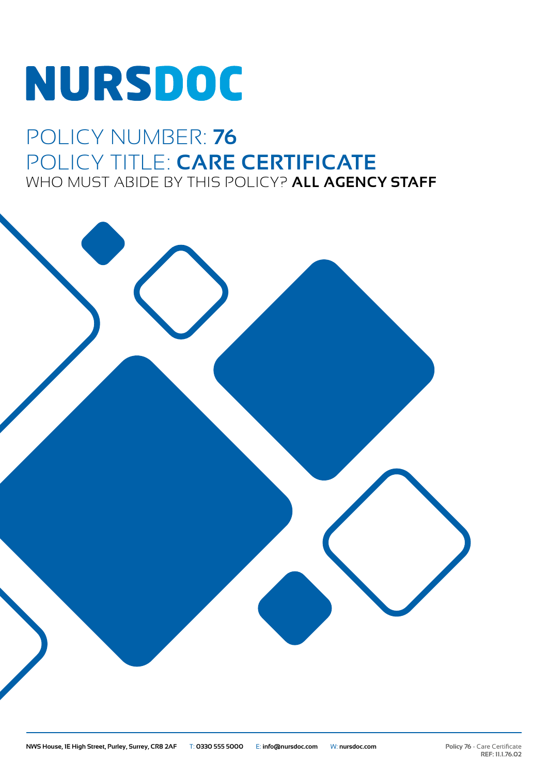# **NURSDOC**

### POLICY NUMBER: **76** POLICY TITLE: **CARE CERTIFICATE** WHO MUST ABIDE BY THIS POLICY? **ALL AGENCY STAFF**